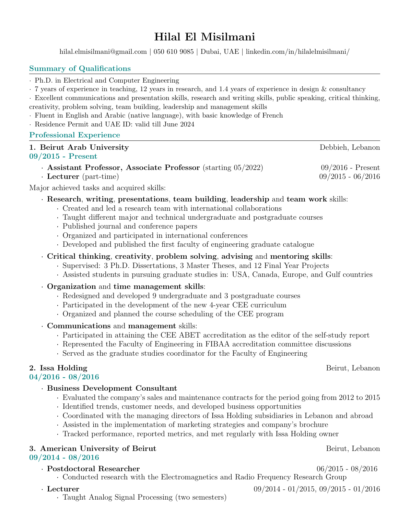# Hilal El Misilmani

[hilal.elmisilmani@gmail.com](mailto:hilal.elmisilmani@gmail.com) | 050 610 9085 | Dubai, UAE | [linkedin.com/in/hilalelmisilmani/](https://www.linkedin.com/in/hilalelmisilmani/)

#### Summary of Qualifications ·

Ph.D. in Electrical and Computer Engineering

7 years of experience in teaching, 12 years in research, and 1.4 years of experience in design & consultancy

Excellent communications and presentation skills, research and writing skills, public speaking, critical thinking, creativity, problem solving, team building, leadership and management skills ·

- Fluent in English and Arabic (native language), with basic knowledge of French
- Residence Permit and UAE ID: valid till June 2024

#### Professional Experience

| 1. Beirut Arab University                                      | Debbieh, Lebanon    |
|----------------------------------------------------------------|---------------------|
| $09/2015$ - Present                                            |                     |
| Assistant Professor, Associate Professor (starting $05/2022$ ) | $09/2016$ - Present |
| <b>Lecturer</b> (part-time)                                    | $09/2015 - 06/2016$ |

Major achieved tasks and acquired skills: ·

### Research, writing, presentations, team building, leadership and team work skills:

- Created and led a research team with international collaborations ·
- Taught different major and technical undergraduate and postgraduate courses ·
- Published journal and conference papers ·
- Organized and participated in international conferences
- Developed and published the first faculty of engineering graduate catalogue ·

### Critical thinking, creativity, problem solving, advising and mentoring skills:

- Supervised: 3 Ph.D. Dissertations, 3 Master Theses, and 12 Final Year Projects
- Assisted students in pursuing graduate studies in: USA, Canada, Europe, and Gulf countries ·

## Organization and time management skills:

- Redesigned and developed 9 undergraduate and 3 postgraduate courses ·
- Participated in the development of the new 4-year CEE curriculum
- Organized and planned the course scheduling of the CEE program ·
- Communications and management skills:
	- Participated in attaining the CEE ABET accreditation as the editor of the self-study report ·
	- Represented the Faculty of Engineering in FIBAA accreditation committee discussions
	- Served as the graduate studies coordinator for the Faculty of Engineering

# 2. Issa Holding Beirut, Lebanon<br>0.4 (0.01.6 - 0.9 (0.01.6 -

# $04/2016$  -  $08/2016$

### Business Development Consultant

- Evaluated the company's sales and maintenance contracts for the period going from 2012 to 2015 ·
- Identified trends, customer needs, and developed business opportunities ·
- Coordinated with the managing directors of Issa Holding subsidiaries in Lebanon and abroad ·
- Assisted in the implementation of marketing strategies and company's brochure
- Tracked performance, reported metrics, and met regularly with Issa Holding owner

## 3. American University of Beirut Beirut Beirut, Lebanon

## $09/2014$  -  $08/2016$

Postdoctoral Researcher<br>
Conducted research with the Electromermetics and Bedia Frequency Because Crown Conducted research with the Electromagnetics and Radio Frequency Research Group ·

 $\cdot$  Lecturer 09/2014 - 01/2015, 09/2015 - 01/2016

Taught Analog Signal Processing (two semesters)